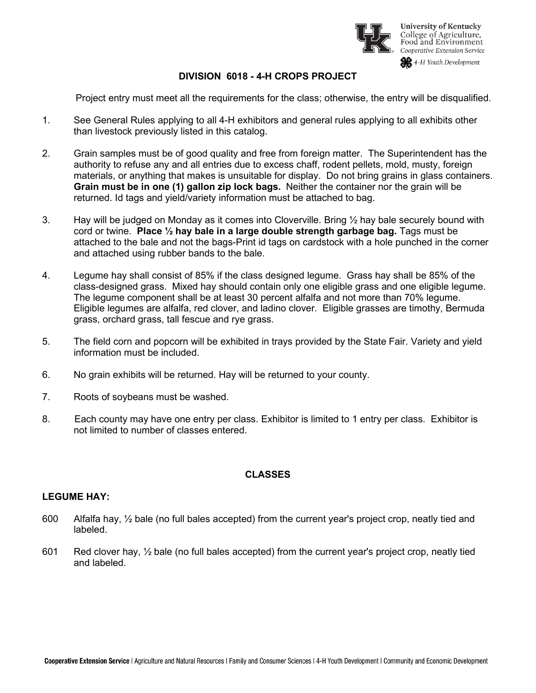

**University of Kentucky** College of Agriculture,<br>Food and Environment Cooperative Extension Service

4-H Youth Development

## **DIVISION 6018 - 4-H CROPS PROJECT**

Project entry must meet all the requirements for the class; otherwise, the entry will be disqualified.

- 1. See General Rules applying to all 4-H exhibitors and general rules applying to all exhibits other than livestock previously listed in this catalog.
- 2. Grain samples must be of good quality and free from foreign matter. The Superintendent has the authority to refuse any and all entries due to excess chaff, rodent pellets, mold, musty, foreign materials, or anything that makes is unsuitable for display. Do not bring grains in glass containers. **Grain must be in one (1) gallon zip lock bags.** Neither the container nor the grain will be returned. Id tags and yield/variety information must be attached to bag.
- 3. Hay will be judged on Monday as it comes into Cloverville. Bring  $\frac{1}{2}$  hay bale securely bound with cord or twine. **Place ½ hay bale in a large double strength garbage bag.** Tags must be attached to the bale and not the bags-Print id tags on cardstock with a hole punched in the corner and attached using rubber bands to the bale.
- 4. Legume hay shall consist of 85% if the class designed legume. Grass hay shall be 85% of the class-designed grass. Mixed hay should contain only one eligible grass and one eligible legume. The legume component shall be at least 30 percent alfalfa and not more than 70% legume. Eligible legumes are alfalfa, red clover, and ladino clover. Eligible grasses are timothy, Bermuda grass, orchard grass, tall fescue and rye grass.
- 5. The field corn and popcorn will be exhibited in trays provided by the State Fair. Variety and yield information must be included.
- 6. No grain exhibits will be returned. Hay will be returned to your county.
- 7. Roots of soybeans must be washed.
- 8. Each county may have one entry per class. Exhibitor is limited to 1 entry per class. Exhibitor is not limited to number of classes entered.

# **CLASSES**

#### **LEGUME HAY:**

- 600 Alfalfa hay, ½ bale (no full bales accepted) from the current year's project crop, neatly tied and labeled.
- 601 Red clover hay, ½ bale (no full bales accepted) from the current year's project crop, neatly tied and labeled.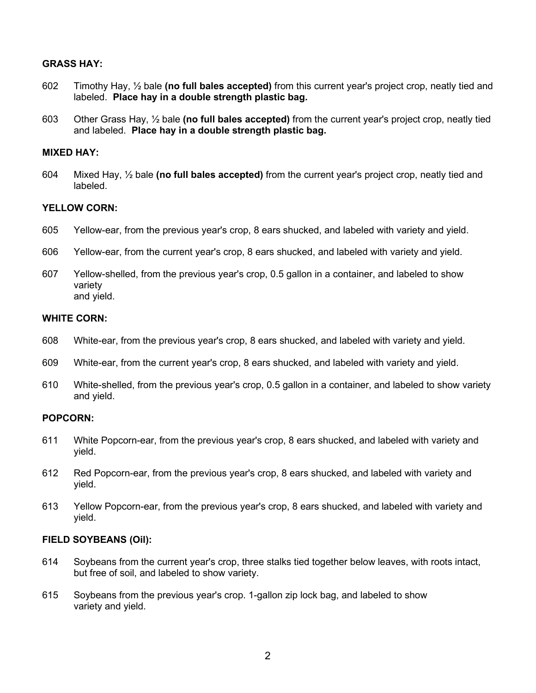## **GRASS HAY:**

- 602 Timothy Hay, ½ bale **(no full bales accepted)** from this current year's project crop, neatly tied and labeled. **Place hay in a double strength plastic bag.**
- 603 Other Grass Hay, ½ bale **(no full bales accepted)** from the current year's project crop, neatly tied and labeled. **Place hay in a double strength plastic bag.**

#### **MIXED HAY:**

604 Mixed Hay, ½ bale **(no full bales accepted)** from the current year's project crop, neatly tied and labeled.

## **YELLOW CORN:**

- 605 Yellow-ear, from the previous year's crop, 8 ears shucked, and labeled with variety and yield.
- 606 Yellow-ear, from the current year's crop, 8 ears shucked, and labeled with variety and yield.
- 607 Yellow-shelled, from the previous year's crop, 0.5 gallon in a container, and labeled to show variety and yield.

#### **WHITE CORN:**

- 608 White-ear, from the previous year's crop, 8 ears shucked, and labeled with variety and yield.
- 609 White-ear, from the current year's crop, 8 ears shucked, and labeled with variety and yield.
- 610 White-shelled, from the previous year's crop, 0.5 gallon in a container, and labeled to show variety and yield.

#### **POPCORN:**

- 611 White Popcorn-ear, from the previous year's crop, 8 ears shucked, and labeled with variety and yield.
- 612 Red Popcorn-ear, from the previous year's crop, 8 ears shucked, and labeled with variety and yield.
- 613 Yellow Popcorn-ear, from the previous year's crop, 8 ears shucked, and labeled with variety and yield.

#### **FIELD SOYBEANS (Oil):**

- 614 Soybeans from the current year's crop, three stalks tied together below leaves, with roots intact, but free of soil, and labeled to show variety.
- 615 Soybeans from the previous year's crop. 1-gallon zip lock bag, and labeled to show variety and yield.